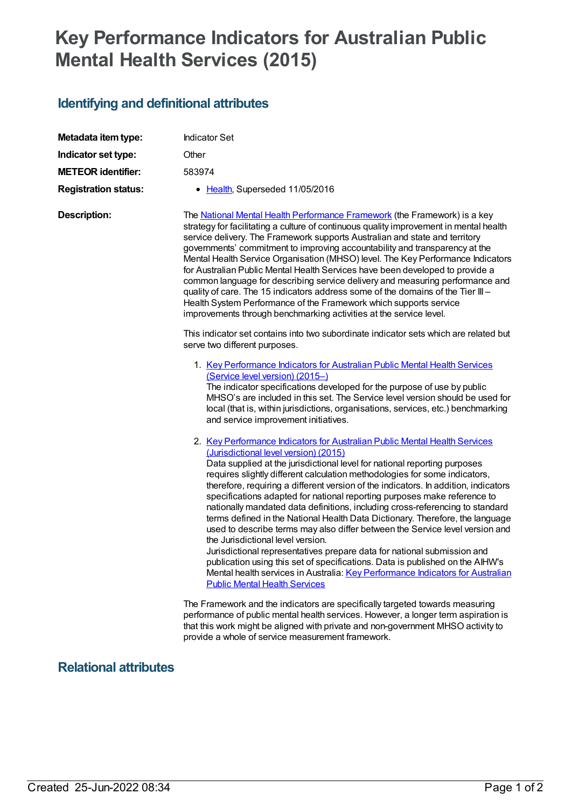## **Key Performance Indicators for Australian Public Mental Health Services (2015)**

## **Identifying and definitional attributes**

| Metadata item type:         | <b>Indicator Set</b>                                                                                                                                                                                                                                                                                                                                                                                                                                                                                                                                                                                                                                                                                                                                                                                                                                                                                                                                                                                                           |
|-----------------------------|--------------------------------------------------------------------------------------------------------------------------------------------------------------------------------------------------------------------------------------------------------------------------------------------------------------------------------------------------------------------------------------------------------------------------------------------------------------------------------------------------------------------------------------------------------------------------------------------------------------------------------------------------------------------------------------------------------------------------------------------------------------------------------------------------------------------------------------------------------------------------------------------------------------------------------------------------------------------------------------------------------------------------------|
| Indicator set type:         | Other                                                                                                                                                                                                                                                                                                                                                                                                                                                                                                                                                                                                                                                                                                                                                                                                                                                                                                                                                                                                                          |
| <b>METEOR identifier:</b>   | 583974                                                                                                                                                                                                                                                                                                                                                                                                                                                                                                                                                                                                                                                                                                                                                                                                                                                                                                                                                                                                                         |
| <b>Registration status:</b> | • Health, Superseded 11/05/2016                                                                                                                                                                                                                                                                                                                                                                                                                                                                                                                                                                                                                                                                                                                                                                                                                                                                                                                                                                                                |
| <b>Description:</b>         | The National Mental Health Performance Framework (the Framework) is a key<br>strategy for facilitating a culture of continuous quality improvement in mental health<br>service delivery. The Framework supports Australian and state and territory<br>governments' commitment to improving accountability and transparency at the<br>Mental Health Service Organisation (MHSO) level. The Key Performance Indicators<br>for Australian Public Mental Health Services have been developed to provide a<br>common language for describing service delivery and measuring performance and<br>quality of care. The 15 indicators address some of the domains of the Tier III -<br>Health System Performance of the Framework which supports service<br>improvements through benchmarking activities at the service level.                                                                                                                                                                                                          |
|                             | This indicator set contains into two subordinate indicator sets which are related but<br>serve two different purposes.                                                                                                                                                                                                                                                                                                                                                                                                                                                                                                                                                                                                                                                                                                                                                                                                                                                                                                         |
|                             | 1. Key Performance Indicators for Australian Public Mental Health Services<br>(Service level version) (2015-)<br>The indicator specifications developed for the purpose of use by public<br>MHSO's are included in this set. The Service level version should be used for<br>local (that is, within jurisdictions, organisations, services, etc.) benchmarking<br>and service improvement initiatives.                                                                                                                                                                                                                                                                                                                                                                                                                                                                                                                                                                                                                         |
|                             | 2. Key Performance Indicators for Australian Public Mental Health Services<br>(Jurisdictional level version) (2015)<br>Data supplied at the jurisdictional level for national reporting purposes<br>requires slightly different calculation methodologies for some indicators,<br>therefore, requiring a different version of the indicators. In addition, indicators<br>specifications adapted for national reporting purposes make reference to<br>nationally mandated data definitions, including cross-referencing to standard<br>terms defined in the National Health Data Dictionary. Therefore, the language<br>used to describe terms may also differ between the Service level version and<br>the Jurisdictional level version.<br>Jurisdictional representatives prepare data for national submission and<br>publication using this set of specifications. Data is published on the AIHW's<br>Mental health services in Australia: Key Performance Indicators for Australian<br><b>Public Mental Health Services</b> |
|                             | The Framework and the indicators are specifically targeted towards measuring<br>performance of public mental health services. However, a longer term aspiration is<br>that this work might be aligned with private and non-government MHSO activity to<br>provide a whole of service measurement framework.                                                                                                                                                                                                                                                                                                                                                                                                                                                                                                                                                                                                                                                                                                                    |

## **Relational attributes**